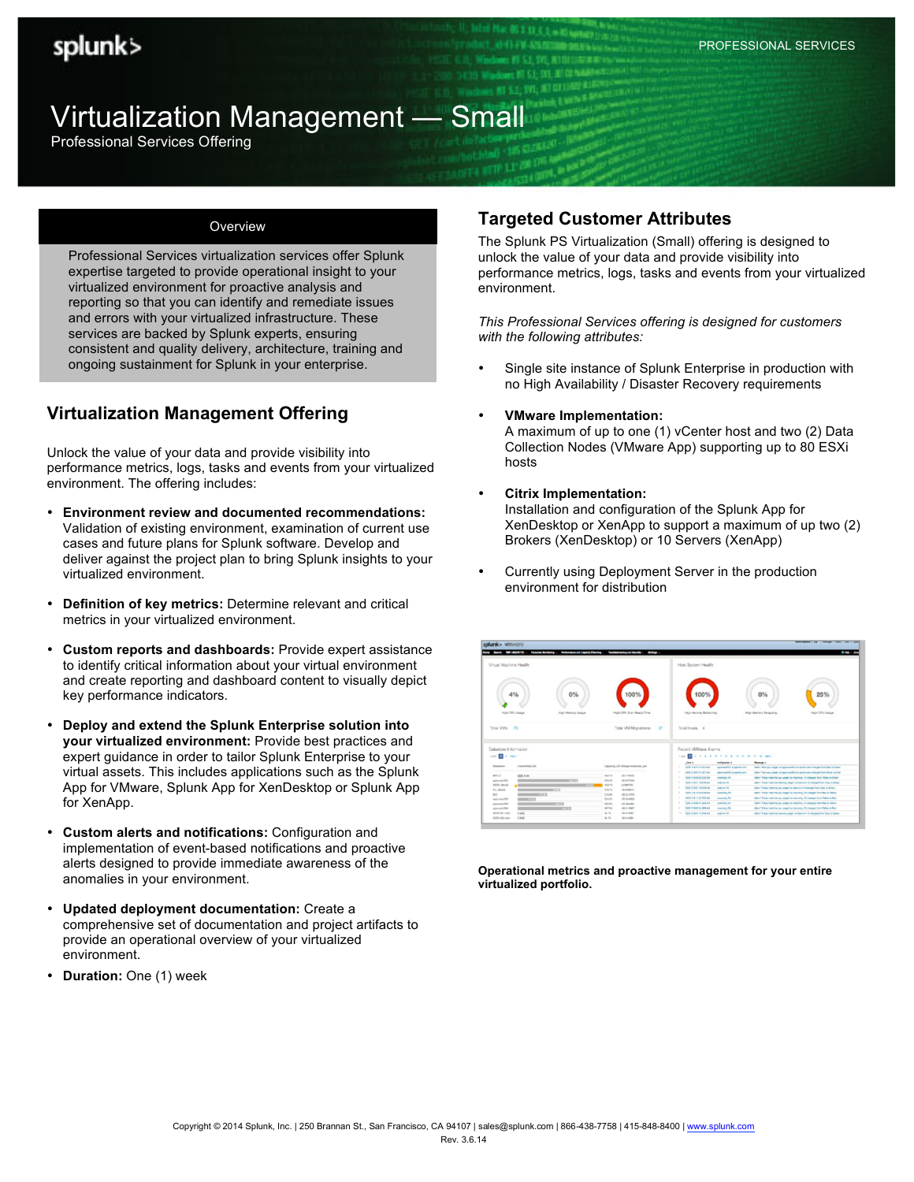# Virtualization Management — Small

Professional Services Offering

#### **Overview**

Professional Services virtualization services offer Splunk expertise targeted to provide operational insight to your virtualized environment for proactive analysis and reporting so that you can identify and remediate issues and errors with your virtualized infrastructure. These services are backed by Splunk experts, ensuring consistent and quality delivery, architecture, training and ongoing sustainment for Splunk in your enterprise.

## **Virtualization Management Offering**

Unlock the value of your data and provide visibility into performance metrics, logs, tasks and events from your virtualized environment. The offering includes:

- **Environment review and documented recommendations:**  Validation of existing environment, examination of current use cases and future plans for Splunk software. Develop and deliver against the project plan to bring Splunk insights to your virtualized environment.
- **Definition of key metrics:** Determine relevant and critical metrics in your virtualized environment.
- **Custom reports and dashboards:** Provide expert assistance to identify critical information about your virtual environment and create reporting and dashboard content to visually depict key performance indicators.
- **Deploy and extend the Splunk Enterprise solution into your virtualized environment:** Provide best practices and expert guidance in order to tailor Splunk Enterprise to your virtual assets. This includes applications such as the Splunk App for VMware, Splunk App for XenDesktop or Splunk App for XenApp.
- **Custom alerts and notifications:** Configuration and implementation of event-based notifications and proactive alerts designed to provide immediate awareness of the anomalies in your environment.
- **Updated deployment documentation:** Create a comprehensive set of documentation and project artifacts to provide an operational overview of your virtualized environment.
- **Duration:** One (1) week

### **Targeted Customer Attributes**

The Splunk PS Virtualization (Small) offering is designed to unlock the value of your data and provide visibility into performance metrics, logs, tasks and events from your virtualized environment.

*This Professional Services offering is designed for customers with the following attributes:*

- Single site instance of Splunk Enterprise in production with no High Availability / Disaster Recovery requirements
- **VMware Implementation:** A maximum of up to one (1) vCenter host and two (2) Data Collection Nodes (VMware App) supporting up to 80 ESXi hosts
- **Citrix Implementation:** Installation and configuration of the Splunk App for XenDesktop or XenApp to support a maximum of up two (2)

Brokers (XenDesktop) or 10 Servers (XenApp)

• Currently using Deployment Server in the production environment for distribution

| splunk> wmware                        | hards 1989 (ABORTES or Provide Kirtholog - Performanced Capacity Planning - Traditionizing and Banarity - a Bankap - |                                                                                      | Advertising   Apr   Thread   April   John   John<br><b><i><u>A 140 AM</u></i></b>               |
|---------------------------------------|----------------------------------------------------------------------------------------------------------------------|--------------------------------------------------------------------------------------|-------------------------------------------------------------------------------------------------|
| Virtual Machine Health                |                                                                                                                      | Host System Health                                                                   |                                                                                                 |
| 0%<br>4%                              | 100%                                                                                                                 | 100%                                                                                 | 0%<br>25%                                                                                       |
| High CPU Usage<br>High Memory Usape   | High CPU Sun Ready Time                                                                                              | High Memory Balticring                                                               | High Memory Swapping<br>High CPU Usage                                                          |
| Total VMs: 70                         | Total VM Migrations: 21                                                                                              | Total Hosts 4                                                                        |                                                                                                 |
| Datastore Information                 |                                                                                                                      | Recent VMWare Alarms                                                                 |                                                                                                 |
| spec 1 mais                           |                                                                                                                      | <b>J J J J J J J J J H H G G G MAI</b><br>1,000                                      |                                                                                                 |
| Committed, CA<br>Esterant             | Capachy, GM Charge publicistad, poli-                                                                                | antiquants &<br><b>See 4</b><br>SANTA BATAS WILL AND<br><b>REPAIRING ACADEMICATE</b> | <b>Research</b><br>Alarm "Well any copy" on approach@ I coupons com changed from Red is direct- |
|                                       |                                                                                                                      | Kinsmith was had called wise.<br>was malil a saleh and                               | Alarn Vient as useal or agencyalities adverses managed from Green a Fost                        |
| MA F<br><b>STEERING</b>               | <b>Rod 70</b><br>HELTTMAA                                                                                            | SUSPICIOUS DECEMBER<br>٠<br><b>EMPIRE TA</b>                                         | Allen Totus market cay used as money . It changed to a Total to Green                           |
| ADDITIONATES<br>$-100$<br>drift forei | 204,28<br><b>JESSETHA</b><br>949.76<br>AMARIA                                                                        | ٠<br>CARLO MOTOR AND<br><b>Southern Print</b>                                        | Allers' Volume machine memory years' on black arts 18 changed from Copy to Great                |
| 4 C. Shorts                           | <b>SHA 76</b><br>$-46.094644$                                                                                        | SOUTHERN PRODUCER<br><b>Southern File</b>                                            | Alarm "Kidual meeting you yougal on head unto 18 all angest from Elega to Green.                |
| <b>DO</b><br>2.31                     | 7/289<br>$-01.2 + 0.779$                                                                                             | <b>SOUTHERN DEATH AND</b><br><b>Continue Fa</b>                                      | Alarm "Mitual method size usage" as methods. The manged from Red is Tellow.                     |
| Are to president                      | <b>JKALMA</b><br>194.95                                                                                              | <b>STATE R.A. LEWIS CO., LANSING</b><br>٠<br><b>Insurance FA</b>                     | Allen Volume residences used as incredit. The marged from Wilson's Red.                         |
| ATEN ANY FIER<br><b>COLOR</b>         | -45 MAHA<br>disk to b                                                                                                | ×<br>Solo Additional Art and<br><b>EMPERAL EA</b>                                    | Alarm "Kirkus mainting stay alway" on manhing. All phanged thim Main is failure.                |
| ADOI PAULOS<br><b>MATTER</b>          | 367.93<br>USE A LIGHT                                                                                                | m.<br><b>SUNTERED To STRAIG</b><br><b><i>SHARRING</i></b> FA                         | Alana "Alikusi medilme car usaga" on Inscriptis, Thi disemped kore "Miker to Red."              |
| <b>Text</b><br>GCS/ 821-4494          | 39.79<br><b>CRANET</b>                                                                                               | TO ADDITIONAL COMMAND<br><b>Southern Mill</b>                                        | Alarm Televisi meeting asprops, paper on lines and futures and ham Copy to Great                |
| 19.95<br>OCO 502 exter                | 38.76<br>$-00.6 + 0.001$                                                                                             |                                                                                      |                                                                                                 |

**Operational metrics and proactive management for your entire virtualized portfolio.**